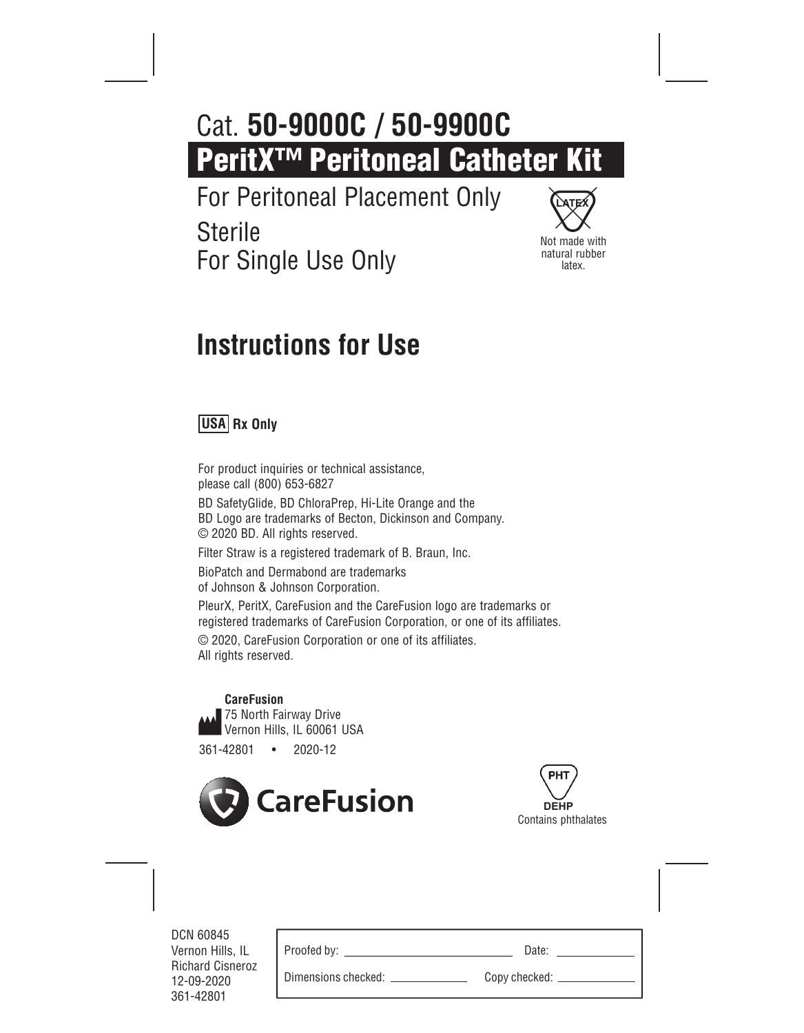# **PeritX™ Peritoneal Catheter Kit** Cat. **50-9000C / 50-9900C**

For Peritoneal Placement Only **Sterile** 

For Single Use Only



# **Instructions for Use**

## **USA Rx Only**

For product inquiries or technical assistance, please call (800) 653-6827

BD SafetyGlide, BD ChloraPrep, Hi-Lite Orange and the BD Logo are trademarks of Becton, Dickinson and Company. © 2020 BD. All rights reserved.

Filter Straw is a registered trademark of B. Braun, Inc.

BioPatch and Dermabond are trademarks of Johnson & Johnson Corporation.

PleurX, PeritX, CareFusion and the CareFusion logo are trademarks or registered trademarks of CareFusion Corporation, or one of its affiliates.

© 2020, CareFusion Corporation or one of its affiliates. All rights reserved.

 **CareFusion** ▲ 75 North Fairway Drive Vernon Hills, IL 60061 USA

361-42801 • 2020-12



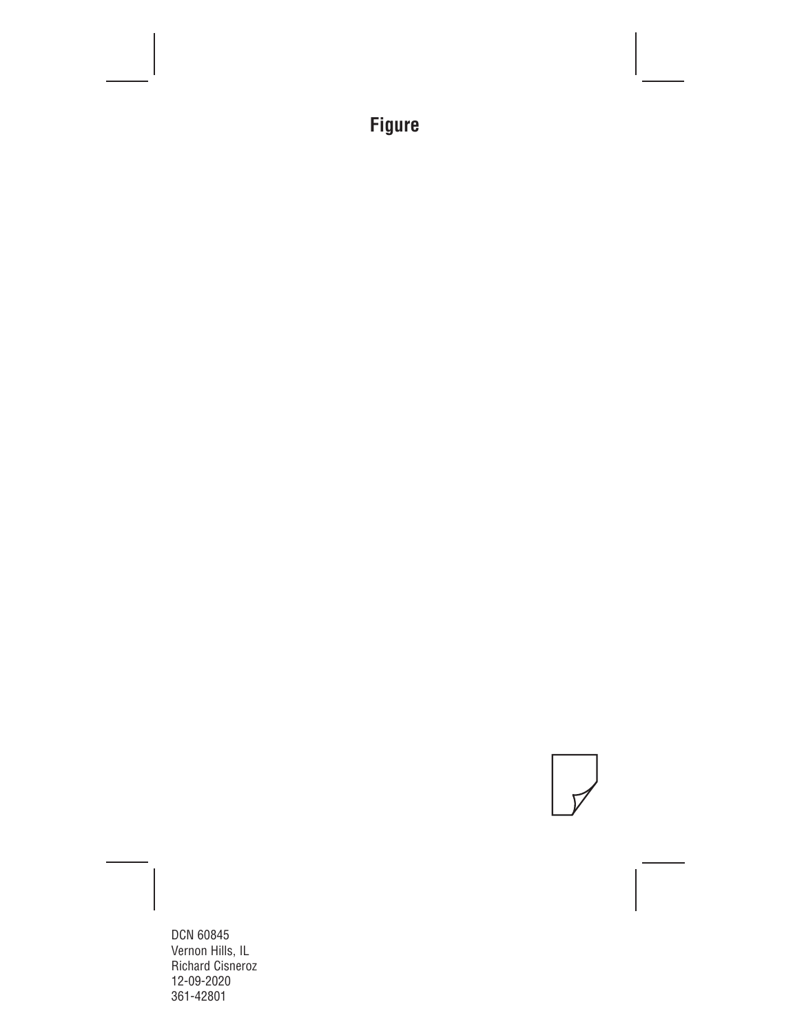## **Figure**

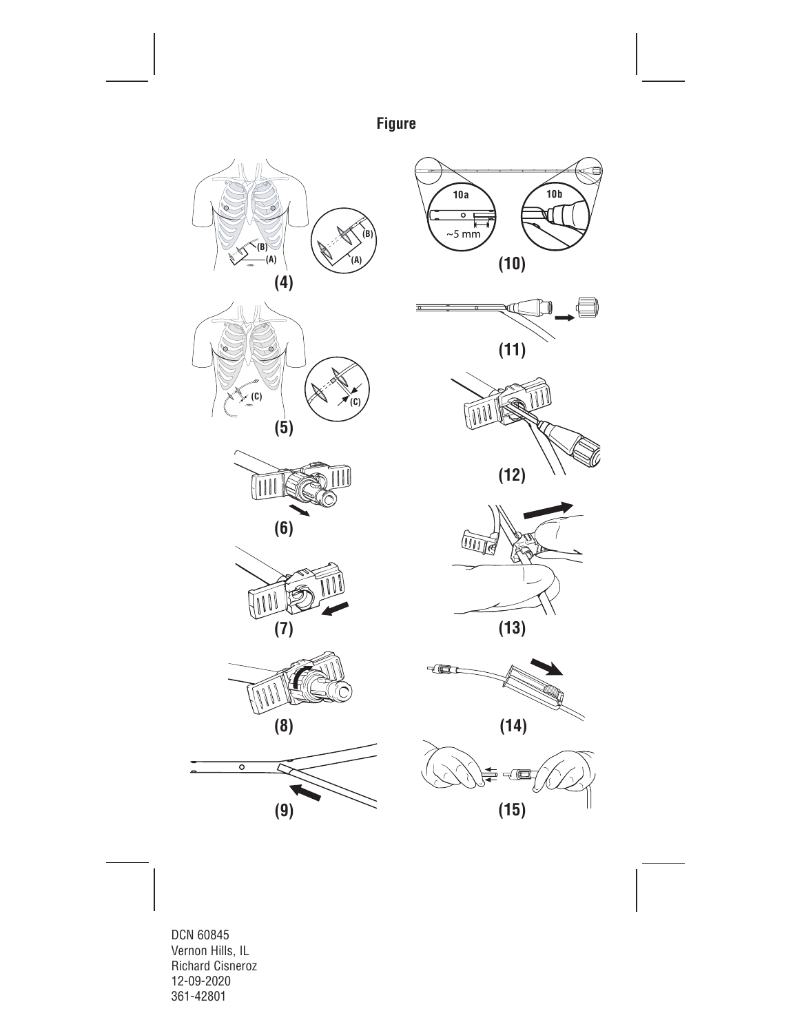**Figure**















**(15)**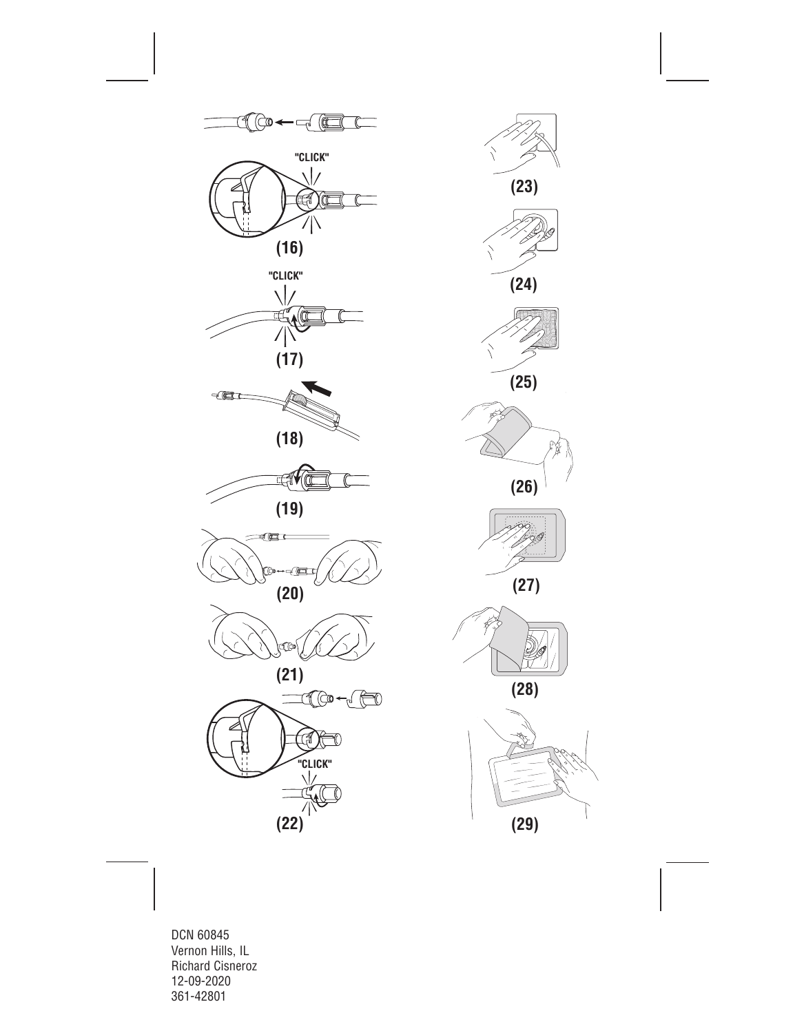

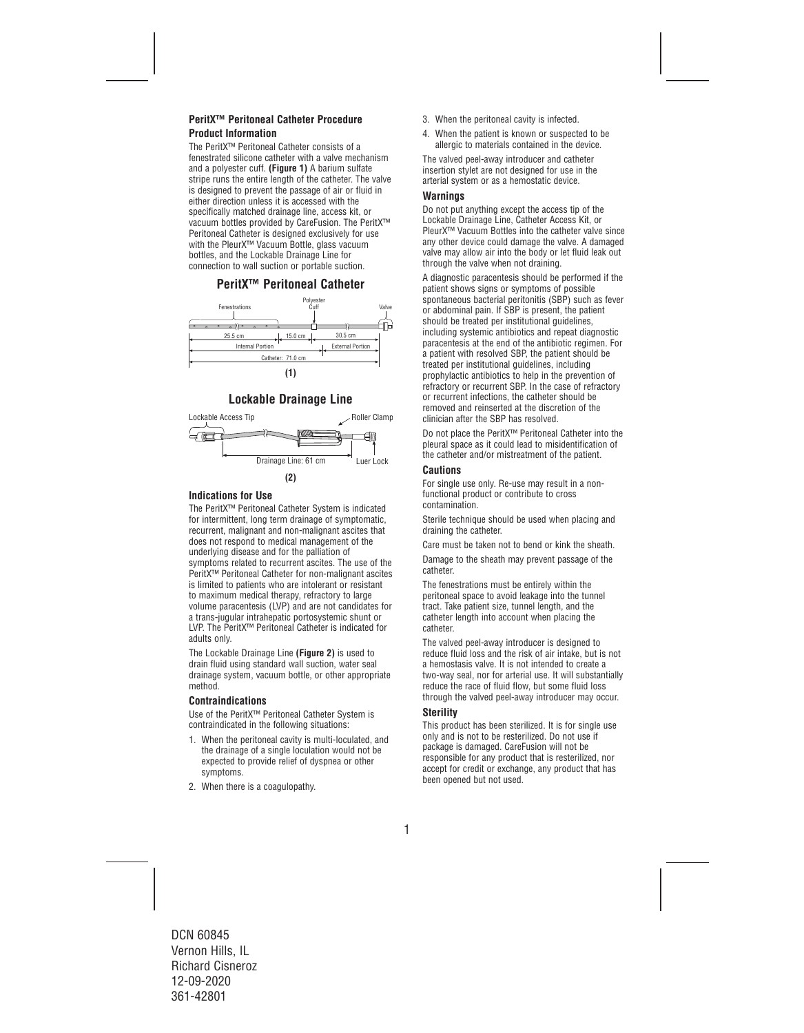#### **PeritX™ Peritoneal Catheter Procedure Product Information**

The PeritX™ Peritoneal Catheter consists of a fenestrated silicone catheter with a valve mechanism and a polyester cuff. **(Figure 1)** A barium sulfate stripe runs the entire length of the catheter. The valve is designed to prevent the passage of air or fluid in either direction unless it is accessed with the specifically matched drainage line, access kit, or vacuum bottles provided by CareFusion. The PeritX™ Peritoneal Catheter is designed exclusively for use with the PleurX™ Vacuum Bottle, glass vacuum bottles, and the Lockable Drainage Line for connection to wall suction or portable suction.

#### **PeritX™ Peritoneal Catheter**



### **Lockable Drainage Line**



#### **Indications for Use**

The PeritX™ Peritoneal Catheter System is indicated for intermittent, long term drainage of symptomatic, recurrent, malignant and non-malignant ascites that does not respond to medical management of the underlying disease and for the palliation of symptoms related to recurrent ascites. The use of the PeritX™ Peritoneal Catheter for non-malignant ascites is limited to patients who are intolerant or resistant to maximum medical therapy, refractory to large volume paracentesis (LVP) and are not candidates for a trans-jugular intrahepatic portosystemic shunt or LVP. The PeritX™ Peritoneal Catheter is indicated for adults only.

The Lockable Drainage Line **(Figure 2)** is used to drain fluid using standard wall suction, water seal drainage system, vacuum bottle, or other appropriate method.

#### **Contraindications**

Use of the PeritX™ Peritoneal Catheter System is contraindicated in the following situations:

- 1. When the peritoneal cavity is multi-loculated, and the drainage of a single loculation would not be expected to provide relief of dyspnea or other symptoms.
- 2. When there is a coagulopathy.
- 3. When the peritoneal cavity is infected.
- 4. When the patient is known or suspected to be allergic to materials contained in the device.

The valved peel-away introducer and catheter insertion stylet are not designed for use in the arterial system or as a hemostatic device.

#### **Warnings**

Do not put anything except the access tip of the Lockable Drainage Line, Catheter Access Kit, or PleurX™ Vacuum Bottles into the catheter valve since any other device could damage the valve. A damaged valve may allow air into the body or let fluid leak out through the valve when not draining.

A diagnostic paracentesis should be performed if the patient shows signs or symptoms of possible spontaneous bacterial peritonitis (SBP) such as fever or abdominal pain. If SBP is present, the patient should be treated per institutional guidelines, including systemic antibiotics and repeat diagnostic paracentesis at the end of the antibiotic regimen. For a patient with resolved SBP, the patient should be treated per institutional guidelines, including prophylactic antibiotics to help in the prevention of refractory or recurrent SBP. In the case of refractory or recurrent infections, the catheter should be removed and reinserted at the discretion of the clinician after the SBP has resolved.

Do not place the PeritX™ Peritoneal Catheter into the pleural space as it could lead to misidentification of the catheter and/or mistreatment of the patient.

#### **Cautions**

For single use only. Re-use may result in a nonfunctional product or contribute to cross contamination.

Sterile technique should be used when placing and draining the catheter.

Care must be taken not to bend or kink the sheath.

 Damage to the sheath may prevent passage of the catheter.

The fenestrations must be entirely within the peritoneal space to avoid leakage into the tunnel tract. Take patient size, tunnel length, and the catheter length into account when placing the catheter.

The valved peel-away introducer is designed to reduce fluid loss and the risk of air intake, but is not a hemostasis valve. It is not intended to create a two-way seal, nor for arterial use. It will substantially reduce the race of fluid flow, but some fluid loss through the valved peel-away introducer may occur.

#### **Sterility**

This product has been sterilized. It is for single use only and is not to be resterilized. Do not use if package is damaged. CareFusion will not be responsible for any product that is resterilized, nor accept for credit or exchange, any product that has been opened but not used.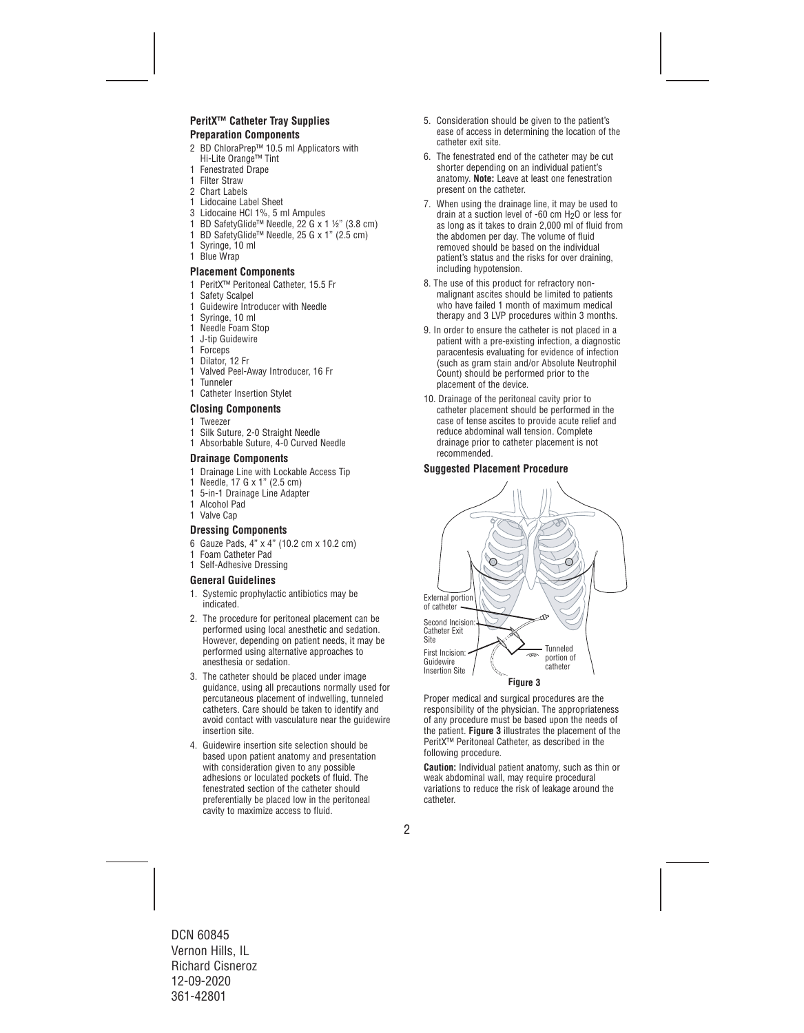#### **PeritX™ Catheter Tray Supplies Preparation Components**

- 2 BD ChloraPrep™ 10.5 ml Applicators with Hi-Lite Orange™ Tint
- 1 Fenestrated Drape
- 1 Filter Straw
- 2 Chart Labels
- 1 Lidocaine Label Sheet
- 3 Lidocaine HCl 1%, 5 ml Ampules
- 1 BD SafetyGlide™ Needle, 22 G x 1 ½" (3.8 cm)
- 1 BD SafetyGlide™ Needle, 25 G x 1" (2.5 cm)
- 1 Syringe, 10 ml
- 1 Blue Wrap

#### **Placement Components**

- 1 PeritX™ Peritoneal Catheter, 15.5 Fr
- 1 Safety Scalpel
- 1 Guidewire Introducer with Needle
- 1 Syringe, 10 ml
- 1 Needle Foam Stop
- 1 J-tip Guidewire
- 1 Forceps
- 1 Dilator, 12 Fr
- 1 Valved Peel-Away Introducer, 16 Fr
- 1 Tunneler
- 1 Catheter Insertion Stylet

#### **Closing Components**

- 1 Tweezer<br>1 Silk Suti
- Silk Suture, 2-0 Straight Needle
- 1 Absorbable Suture, 4-0 Curved Needle

#### **Drainage Components**

- 1 Drainage Line with Lockable Access Tip
- 1 Needle, 17 G x 1" (2.5 cm)
- 1 5-in-1 Drainage Line Adapter
- 1 Alcohol Pad
- 1 Valve Cap

#### **Dressing Components**

- 6 Gauze Pads, 4" x 4" (10.2 cm x 10.2 cm)
- 1 Foam Catheter Pad
- 1 Self-Adhesive Dressing

#### **General Guidelines**

- 1. Systemic prophylactic antibiotics may be indicated.
- 2. The procedure for peritoneal placement can be performed using local anesthetic and sedation. However, depending on patient needs, it may be performed using alternative approaches to anesthesia or sedation.
- 3. The catheter should be placed under image guidance, using all precautions normally used for percutaneous placement of indwelling, tunneled catheters. Care should be taken to identify and avoid contact with vasculature near the guidewire insertion site.
- 4. Guidewire insertion site selection should be based upon patient anatomy and presentation with consideration given to any possible adhesions or loculated pockets of fluid. The fenestrated section of the catheter should preferentially be placed low in the peritoneal cavity to maximize access to fluid.
- 5. Consideration should be given to the patient's ease of access in determining the location of the catheter exit site.
- 6. The fenestrated end of the catheter may be cut shorter depending on an individual patient's anatomy. **Note:** Leave at least one fenestration present on the catheter.
- 7. When using the drainage line, it may be used to drain at a suction level of -60 cm H2O or less for as long as it takes to drain 2,000 ml of fluid from the abdomen per day. The volume of fluid removed should be based on the individual patient's status and the risks for over draining, including hypotension.
- 8. The use of this product for refractory nonmalignant ascites should be limited to patients who have failed 1 month of maximum medical therapy and 3 LVP procedures within 3 months.
- 9. In order to ensure the catheter is not placed in a patient with a pre-existing infection, a diagnostic paracentesis evaluating for evidence of infection (such as gram stain and/or Absolute Neutrophil Count) should be performed prior to the placement of the device.
- 10. Drainage of the peritoneal cavity prior to catheter placement should be performed in the case of tense ascites to provide acute relief and reduce abdominal wall tension. Complete drainage prior to catheter placement is not recommended.

#### **Suggested Placement Procedure**



Proper medical and surgical procedures are the responsibility of the physician. The appropriateness of any procedure must be based upon the needs of the patient. **Figure 3** illustrates the placement of the PeritX™ Peritoneal Catheter, as described in the following procedure.

**Caution:** Individual patient anatomy, such as thin or weak abdominal wall, may require procedural variations to reduce the risk of leakage around the catheter.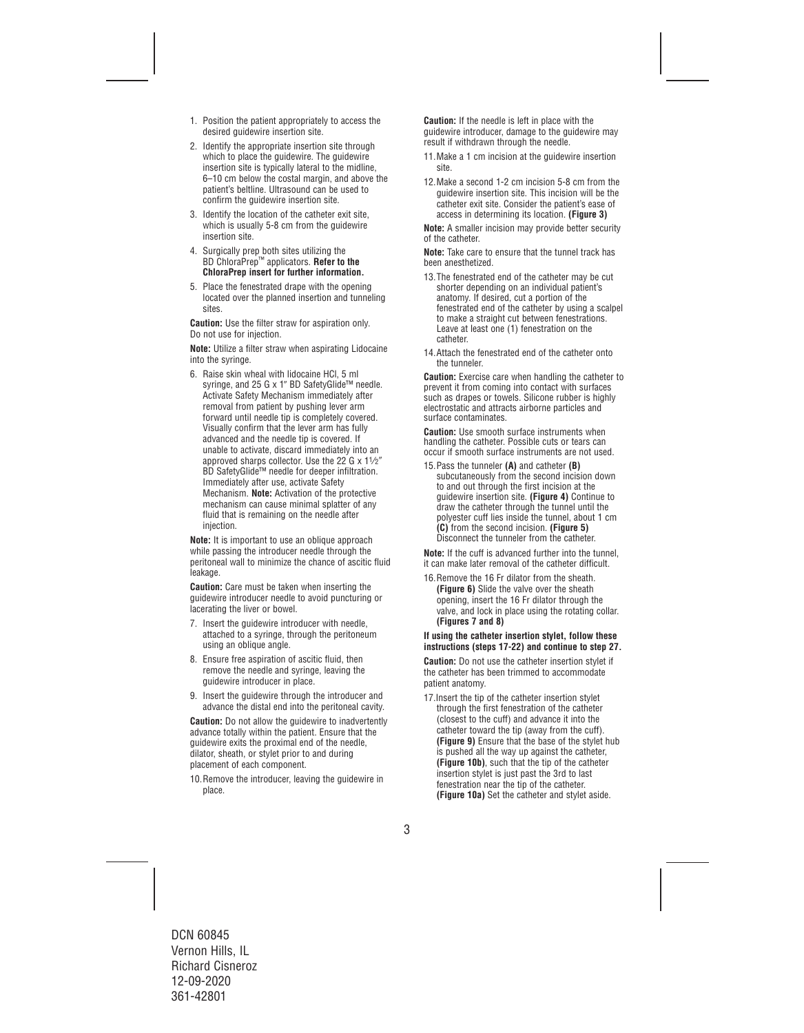- 1. Position the patient appropriately to access the desired guidewire insertion site.
- 2. Identify the appropriate insertion site through which to place the quidewire. The quidewire insertion site is typically lateral to the midline, 6–10 cm below the costal margin, and above the patient's beltline. Ultrasound can be used to confirm the guidewire insertion site.
- 3. Identify the location of the catheter exit site, which is usually 5-8 cm from the guidewire insertion site.
- 4. Surgically prep both sites utilizing the BD ChloraPrep™ applicators. **Refer to the ChloraPrep insert for further information.**
- 5. Place the fenestrated drape with the opening located over the planned insertion and tunneling sites.

**Caution:** Use the filter straw for aspiration only. Do not use for injection.

**Note:** Utilize a filter straw when aspirating Lidocaine into the syringe.

6. Raise skin wheal with lidocaine HCl, 5 ml syringe, and 25 G x 1" BD SafetyGlide™ needle. Activate Safety Mechanism immediately after removal from patient by pushing lever arm forward until needle tip is completely covered. Visually confirm that the lever arm has fully advanced and the needle tip is covered. If unable to activate, discard immediately into an approved sharps collector. Use the 22 G x 11⁄2″ BD SafetyGlide™ needle for deeper infiltration. Immediately after use, activate Safety Mechanism. **Note:** Activation of the protective mechanism can cause minimal splatter of any fluid that is remaining on the needle after injection.

**Note:** It is important to use an oblique approach while passing the introducer needle through the peritoneal wall to minimize the chance of ascitic fluid leakage.

**Caution:** Care must be taken when inserting the guidewire introducer needle to avoid puncturing or lacerating the liver or bowel.

- 7. Insert the guidewire introducer with needle, attached to a syringe, through the peritoneum using an oblique angle.
- 8. Ensure free aspiration of ascitic fluid, then remove the needle and syringe, leaving the guidewire introducer in place.
- 9. Insert the guidewire through the introducer and advance the distal end into the peritoneal cavity.

**Caution:** Do not allow the quidewire to inadvertently advance totally within the patient. Ensure that the guidewire exits the proximal end of the needle, dilator, sheath, or stylet prior to and during placement of each component.

10.Remove the introducer, leaving the guidewire in place.

**Caution:** If the needle is left in place with the guidewire introducer, damage to the guidewire may result if withdrawn through the needle.

- 11.Make a 1 cm incision at the guidewire insertion site.
- 12.Make a second 1-2 cm incision 5-8 cm from the guidewire insertion site. This incision will be the catheter exit site. Consider the patient's ease of access in determining its location. **(Figure 3)**

**Note:** A smaller incision may provide better security of the catheter.

**Note:** Take care to ensure that the tunnel track has been anesthetized.

- 13.The fenestrated end of the catheter may be cut shorter depending on an individual patient's anatomy. If desired, cut a portion of the fenestrated end of the catheter by using a scalpel to make a straight cut between fenestrations. Leave at least one (1) fenestration on the catheter.
- 14.Attach the fenestrated end of the catheter onto the tunneler.

**Caution:** Exercise care when handling the catheter to prevent it from coming into contact with surfaces such as drapes or towels. Silicone rubber is highly electrostatic and attracts airborne particles and surface contaminates.

**Caution:** Use smooth surface instruments when handling the catheter. Possible cuts or tears can occur if smooth surface instruments are not used.

15.Pass the tunneler **(A)** and catheter **(B)**  subcutaneously from the second incision down to and out through the first incision at the guidewire insertion site. **(Figure 4)** Continue to draw the catheter through the tunnel until the polyester cuff lies inside the tunnel, about 1 cm **(C)** from the second incision. **(Figure 5)** Disconnect the tunneler from the catheter.

**Note:** If the cuff is advanced further into the tunnel, it can make later removal of the catheter difficult.

16.Remove the 16 Fr dilator from the sheath. **(Figure 6)** Slide the valve over the sheath opening, insert the 16 Fr dilator through the valve, and lock in place using the rotating collar. **(Figures 7 and 8)**

#### **If using the catheter insertion stylet, follow these instructions (steps 17-22) and continue to step 27.**

**Caution:** Do not use the catheter insertion stylet if the catheter has been trimmed to accommodate patient anatomy.

17.Insert the tip of the catheter insertion stylet through the first fenestration of the catheter (closest to the cuff) and advance it into the catheter toward the tip (away from the cuff). **(Figure 9)** Ensure that the base of the stylet hub is pushed all the way up against the catheter, **(Figure 10b)**, such that the tip of the catheter insertion stylet is just past the 3rd to last fenestration near the tip of the catheter. **(Figure 10a)** Set the catheter and stylet aside.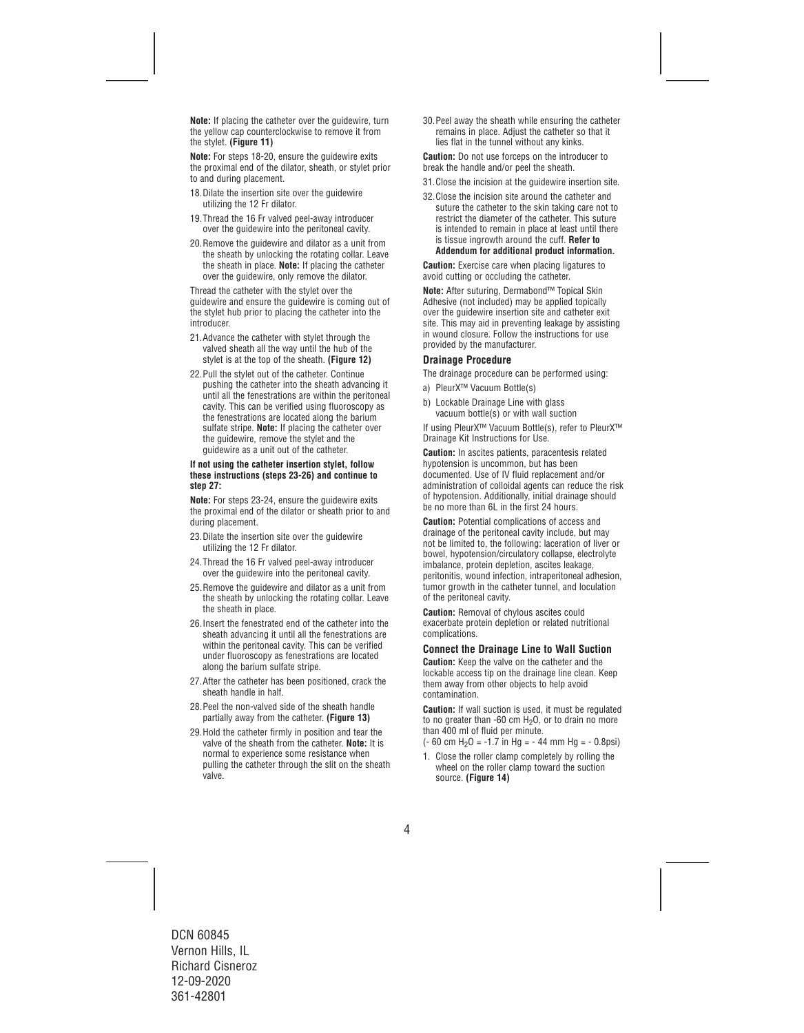**Note:** If placing the catheter over the guidewire, turn the yellow cap counterclockwise to remove it from the stylet. **(Figure 11)** 

**Note:** For steps 18-20, ensure the guidewire exits the proximal end of the dilator, sheath, or stylet prior to and during placement.

- 18. Dilate the insertion site over the quidewire utilizing the 12 Fr dilator.
- 19.Thread the 16 Fr valved peel-away introducer over the guidewire into the peritoneal cavity.
- 20.Remove the guidewire and dilator as a unit from the sheath by unlocking the rotating collar. Leave the sheath in place. **Note:** If placing the catheter over the guidewire, only remove the dilator.

Thread the catheter with the stylet over the guidewire and ensure the guidewire is coming out of the stylet hub prior to placing the catheter into the introducer.

- 21.Advance the catheter with stylet through the valved sheath all the way until the hub of the stylet is at the top of the sheath. **(Figure 12)**
- 22.Pull the stylet out of the catheter. Continue pushing the catheter into the sheath advancing it until all the fenestrations are within the peritoneal cavity. This can be verified using fluoroscopy as the fenestrations are located along the barium sulfate stripe. **Note:** If placing the catheter over the guidewire, remove the stylet and the guidewire as a unit out of the catheter.

#### **If not using the catheter insertion stylet, follow these instructions (steps 23-26) and continue to step 27:**

**Note:** For steps 23-24, ensure the guidewire exits the proximal end of the dilator or sheath prior to and during placement.

- 23.Dilate the insertion site over the guidewire utilizing the 12 Fr dilator.
- 24.Thread the 16 Fr valved peel-away introducer over the guidewire into the peritoneal cavity.
- 25.Remove the guidewire and dilator as a unit from the sheath by unlocking the rotating collar. Leave the sheath in place.
- 26.Insert the fenestrated end of the catheter into the sheath advancing it until all the fenestrations are within the peritoneal cavity. This can be verified under fluoroscopy as fenestrations are located along the barium sulfate stripe.
- 27.After the catheter has been positioned, crack the sheath handle in half.
- 28.Peel the non-valved side of the sheath handle partially away from the catheter. **(Figure 13)**
- 29.Hold the catheter firmly in position and tear the valve of the sheath from the catheter. **Note:** It is normal to experience some resistance when pulling the catheter through the slit on the sheath valve.

30.Peel away the sheath while ensuring the catheter remains in place. Adjust the catheter so that it lies flat in the tunnel without any kinks.

**Caution:** Do not use forceps on the introducer to break the handle and/or peel the sheath.

- 31.Close the incision at the guidewire insertion site.
- 32.Close the incision site around the catheter and suture the catheter to the skin taking care not to restrict the diameter of the catheter. This suture is intended to remain in place at least until there is tissue ingrowth around the cuff. **Refer to Addendum for additional product information.**

**Caution:** Exercise care when placing ligatures to avoid cutting or occluding the catheter.

**Note:** After suturing, Dermabond™ Topical Skin Adhesive (not included) may be applied topically over the guidewire insertion site and catheter exit site. This may aid in preventing leakage by assisting in wound closure. Follow the instructions for use provided by the manufacturer.

#### **Drainage Procedure**

The drainage procedure can be performed using:

- a) PleurX™ Vacuum Bottle(s)
- b) Lockable Drainage Line with glass vacuum bottle(s) or with wall suction

If using PleurX™ Vacuum Bottle(s), refer to PleurX™ Drainage Kit Instructions for Use.

**Caution:** In ascites patients, paracentesis related hypotension is uncommon, but has been documented. Use of IV fluid replacement and/or administration of colloidal agents can reduce the risk of hypotension. Additionally, initial drainage should be no more than 6L in the first 24 hours.

**Caution:** Potential complications of access and drainage of the peritoneal cavity include, but may not be limited to, the following: laceration of liver or bowel, hypotension/circulatory collapse, electrolyte imbalance, protein depletion, ascites leakage, peritonitis, wound infection, intraperitoneal adhesion, tumor growth in the catheter tunnel, and loculation of the peritoneal cavity.

**Caution:** Removal of chylous ascites could exacerbate protein depletion or related nutritional complications.

#### **Connect the Drainage Line to Wall Suction**

**Caution:** Keep the valve on the catheter and the lockable access tip on the drainage line clean. Keep them away from other objects to help avoid contamination.

**Caution:** If wall suction is used, it must be regulated to no greater than  $-60$  cm  $H<sub>2</sub>O$ , or to drain no more than 400 ml of fluid per minute.

- $(-60 \text{ cm H}_2) = -1.7 \text{ in Hg} = -44 \text{ mm Hg} = -0.8 \text{ nsi}$
- 1. Close the roller clamp completely by rolling the wheel on the roller clamp toward the suction source. **(Figure 14)**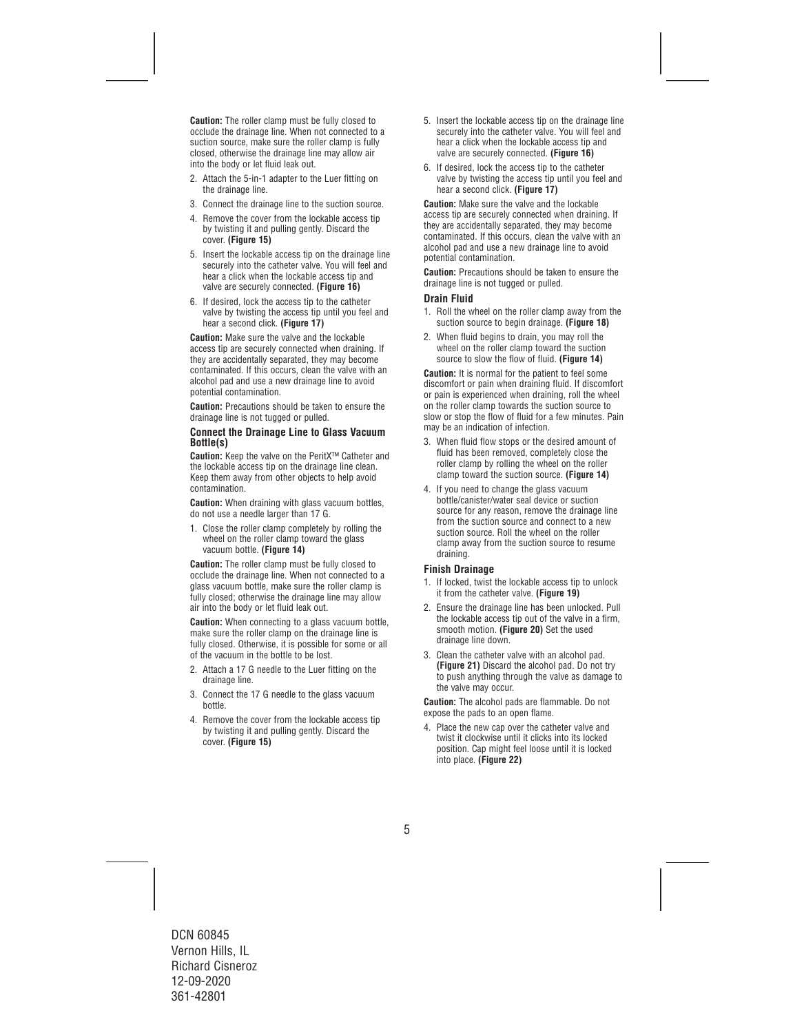**Caution:** The roller clamp must be fully closed to occlude the drainage line. When not connected to a suction source, make sure the roller clamp is fully closed, otherwise the drainage line may allow air into the body or let fluid leak out.

- 2. Attach the 5-in-1 adapter to the Luer fitting on the drainage line.
- 3. Connect the drainage line to the suction source.
- 4. Remove the cover from the lockable access tip by twisting it and pulling gently. Discard the cover. **(Figure 15)**
- 5. Insert the lockable access tip on the drainage line securely into the catheter valve. You will feel and hear a click when the lockable access tip and valve are securely connected. **(Figure 16)**
- 6. If desired, lock the access tip to the catheter valve by twisting the access tip until you feel and hear a second click. **(Figure 17)**

**Caution:** Make sure the valve and the lockable access tip are securely connected when draining. If they are accidentally separated, they may become contaminated. If this occurs, clean the valve with an alcohol pad and use a new drainage line to avoid potential contamination.

**Caution:** Precautions should be taken to ensure the drainage line is not tugged or pulled.

#### **Connect the Drainage Line to Glass Vacuum Bottle(s)**

**Caution:** Keep the valve on the PeritX™ Catheter and the lockable access tip on the drainage line clean. Keep them away from other objects to help avoid contamination.

**Caution:** When draining with glass vacuum bottles. do not use a needle larger than 17 G.

1. Close the roller clamp completely by rolling the wheel on the roller clamp toward the glass vacuum bottle. **(Figure 14)** 

**Caution:** The roller clamp must be fully closed to occlude the drainage line. When not connected to a glass vacuum bottle, make sure the roller clamp is fully closed; otherwise the drainage line may allow air into the body or let fluid leak out.

**Caution:** When connecting to a glass vacuum bottle, make sure the roller clamp on the drainage line is fully closed. Otherwise, it is possible for some or all of the vacuum in the bottle to be lost.

- 2. Attach a 17 G needle to the Luer fitting on the drainage line.
- 3. Connect the 17 G needle to the glass vacuum bottle.
- 4. Remove the cover from the lockable access tip by twisting it and pulling gently. Discard the cover. **(Figure 15)**
- 5. Insert the lockable access tip on the drainage line securely into the catheter valve. You will feel and hear a click when the lockable access tip and valve are securely connected. **(Figure 16)**
- 6. If desired, lock the access tip to the catheter valve by twisting the access tip until you feel and hear a second click. **(Figure 17)**

**Caution:** Make sure the valve and the lockable access tip are securely connected when draining. If they are accidentally separated, they may become contaminated. If this occurs, clean the valve with an alcohol pad and use a new drainage line to avoid potential contamination.

**Caution:** Precautions should be taken to ensure the drainage line is not tugged or pulled.

#### **Drain Fluid**

- 1. Roll the wheel on the roller clamp away from the suction source to begin drainage. **(Figure 18)**
- 2. When fluid begins to drain, you may roll the wheel on the roller clamp toward the suction source to slow the flow of fluid. **(Figure 14)**

**Caution:** It is normal for the patient to feel some discomfort or pain when draining fluid. If discomfort or pain is experienced when draining, roll the wheel on the roller clamp towards the suction source to slow or stop the flow of fluid for a few minutes. Pain may be an indication of infection.

- 3. When fluid flow stops or the desired amount of fluid has been removed, completely close the roller clamp by rolling the wheel on the roller clamp toward the suction source. **(Figure 14)**
- 4. If you need to change the glass vacuum bottle/canister/water seal device or suction source for any reason, remove the drainage line from the suction source and connect to a new suction source. Roll the wheel on the roller clamp away from the suction source to resume draining.

#### **Finish Drainage**

- 1. If locked, twist the lockable access tip to unlock it from the catheter valve. **(Figure 19)**
- 2. Ensure the drainage line has been unlocked. Pull the lockable access tip out of the valve in a firm, smooth motion. **(Figure 20)** Set the used drainage line down.
- 3. Clean the catheter valve with an alcohol pad. **(Figure 21)** Discard the alcohol pad. Do not try to push anything through the valve as damage to the valve may occur.

**Caution:** The alcohol pads are flammable. Do not expose the pads to an open flame.

4. Place the new cap over the catheter valve and twist it clockwise until it clicks into its locked position. Cap might feel loose until it is locked into place. **(Figure 22)**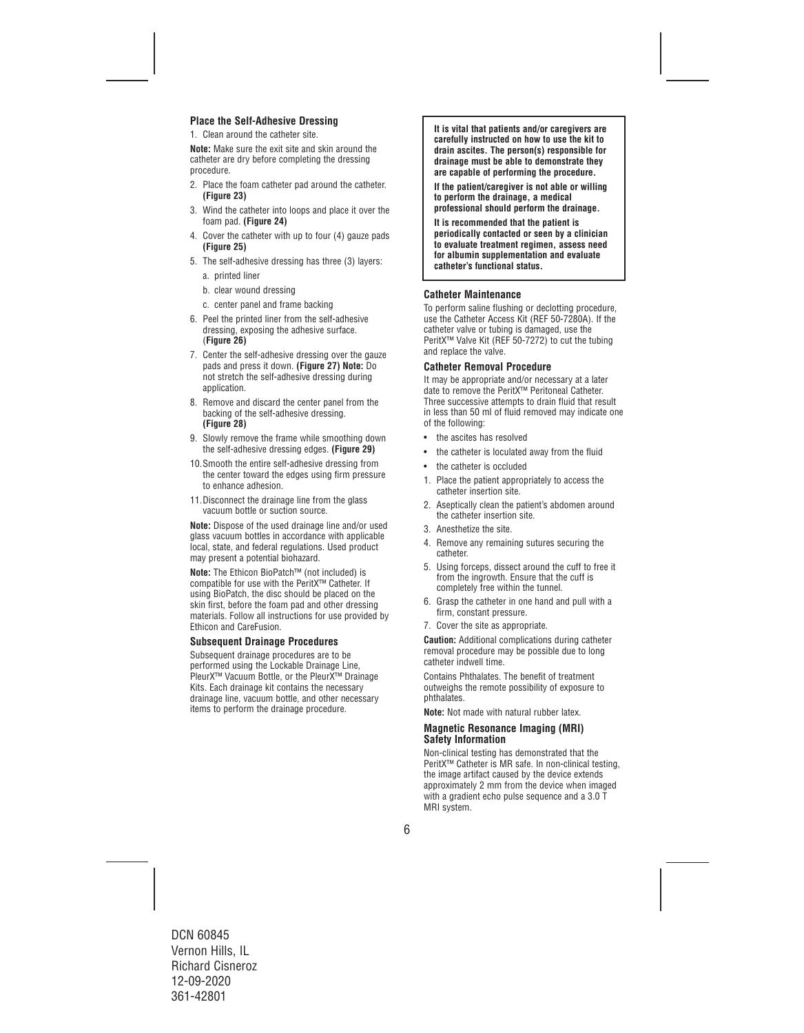#### **Place the Self-Adhesive Dressing**

1. Clean around the catheter site.

**Note:** Make sure the exit site and skin around the catheter are dry before completing the dressing procedure.

- 2. Place the foam catheter pad around the catheter. **(Figure 23)**
- 3. Wind the catheter into loops and place it over the foam pad. **(Figure 24)**
- 4. Cover the catheter with up to four (4) gauze pads **(Figure 25)**
- 5. The self-adhesive dressing has three (3) layers:
	- a. printed liner
	- b. clear wound dressing
	- c. center panel and frame backing
- 6. Peel the printed liner from the self-adhesive dressing, exposing the adhesive surface. (**Figure 26)**
- 7. Center the self-adhesive dressing over the gauze pads and press it down. **(Figure 27) Note:** Do not stretch the self-adhesive dressing during application.
- 8. Remove and discard the center panel from the backing of the self-adhesive dressing. **(Figure 28)**
- 9. Slowly remove the frame while smoothing down the self-adhesive dressing edges. **(Figure 29)**
- 10.Smooth the entire self-adhesive dressing from the center toward the edges using firm pressure to enhance adhesion.
- 11. Disconnect the drainage line from the glass vacuum bottle or suction source.

**Note:** Dispose of the used drainage line and/or used glass vacuum bottles in accordance with applicable local, state, and federal regulations. Used product may present a potential biohazard.

**Note:** The Ethicon BioPatch™ (not included) is compatible for use with the PeritX™ Catheter. If using BioPatch, the disc should be placed on the skin first, before the foam pad and other dressing materials. Follow all instructions for use provided by Ethicon and CareFusion.

#### **Subsequent Drainage Procedures**

Subsequent drainage procedures are to be performed using the Lockable Drainage Line, PleurX<sup>™</sup> Vacuum Bottle, or the PleurX<sup>™</sup> Drainage Kits. Each drainage kit contains the necessary drainage line, vacuum bottle, and other necessary items to perform the drainage procedure.

**It is vital that patients and/or caregivers are carefully instructed on how to use the kit to drain ascites. The person(s) responsible for drainage must be able to demonstrate they are capable of performing the procedure.** 

**If the patient/caregiver is not able or willing to perform the drainage, a medical professional should perform the drainage.** 

**It is recommended that the patient is periodically contacted or seen by a clinician to evaluate treatment regimen, assess need for albumin supplementation and evaluate catheter's functional status.** 

#### **Catheter Maintenance**

To perform saline flushing or declotting procedure, use the Catheter Access Kit (REF 50-7280A). If the catheter valve or tubing is damaged, use the PeritX™ Valve Kit (REF 50-7272) to cut the tubing and replace the valve.

#### **Catheter Removal Procedure**

It may be appropriate and/or necessary at a later date to remove the PeritX™ Peritoneal Catheter. Three successive attempts to drain fluid that result in less than 50 ml of fluid removed may indicate one of the following:

- the ascites has resolved
- the catheter is loculated away from the fluid
- the catheter is occluded
- 1. Place the patient appropriately to access the catheter insertion site.
- 2. Aseptically clean the patient's abdomen around the catheter insertion site.
- 3. Anesthetize the site.
- 4. Remove any remaining sutures securing the catheter.
- 5. Using forceps, dissect around the cuff to free it from the ingrowth. Ensure that the cuff is completely free within the tunnel.
- 6. Grasp the catheter in one hand and pull with a firm, constant pressure.
- 7. Cover the site as appropriate.

**Caution:** Additional complications during catheter removal procedure may be possible due to long catheter indwell time.

Contains Phthalates. The benefit of treatment outweighs the remote possibility of exposure to phthalates.

**Note:** Not made with natural rubber latex.

#### **Magnetic Resonance Imaging (MRI) Safety Information**

Non-clinical testing has demonstrated that the PeritX™ Catheter is MR safe. In non-clinical testing, the image artifact caused by the device extends approximately 2 mm from the device when imaged with a gradient echo pulse sequence and a 3.0 T MRI system.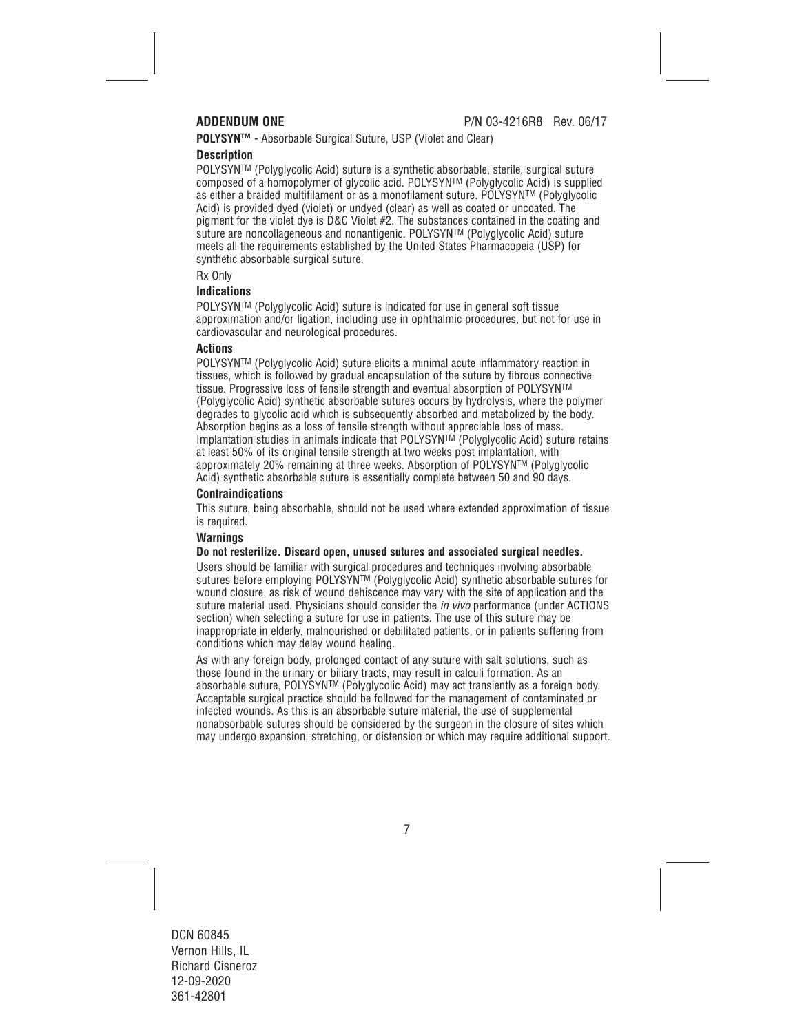**POLYSYN™** - Absorbable Surgical Suture, USP (Violet and Clear)

#### **Description**

POLYSYNTM (Polyglycolic Acid) suture is a synthetic absorbable, sterile, surgical suture composed of a homopolymer of glycolic acid. POLYSYNTM (Polyglycolic Acid) is supplied as either a braided multifilament or as a monofilament suture. POLYSYNTM (Polyglycolic Acid) is provided dyed (violet) or undyed (clear) as well as coated or uncoated. The pigment for the violet dye is D&C Violet #2. The substances contained in the coating and suture are noncollageneous and nonantigenic. POLYSYNTM (Polyglycolic Acid) suture meets all the requirements established by the United States Pharmacopeia (USP) for synthetic absorbable surgical suture.

Rx Only

#### **Indications**

POLYSYNTM (Polyglycolic Acid) suture is indicated for use in general soft tissue approximation and/or ligation, including use in ophthalmic procedures, but not for use in cardiovascular and neurological procedures.

#### **Actions**

POLYSYNTM (Polyglycolic Acid) suture elicits a minimal acute inflammatory reaction in tissues, which is followed by gradual encapsulation of the suture by fibrous connective tissue. Progressive loss of tensile strength and eventual absorption of POLYSYNTM (Polyglycolic Acid) synthetic absorbable sutures occurs by hydrolysis, where the polymer degrades to glycolic acid which is subsequently absorbed and metabolized by the body. Absorption begins as a loss of tensile strength without appreciable loss of mass. Implantation studies in animals indicate that POLYSYNTM (Polyglycolic Acid) suture retains at least 50% of its original tensile strength at two weeks post implantation, with approximately 20% remaining at three weeks. Absorption of POLYSYNTM (Polyglycolic Acid) synthetic absorbable suture is essentially complete between 50 and 90 days.

#### **Contraindications**

This suture, being absorbable, should not be used where extended approximation of tissue is required.

#### **Warnings**

#### **Do not resterilize. Discard open, unused sutures and associated surgical needles.**

Users should be familiar with surgical procedures and techniques involving absorbable sutures before employing POLYSYNTM (Polyglycolic Acid) synthetic absorbable sutures for wound closure, as risk of wound dehiscence may vary with the site of application and the suture material used. Physicians should consider the *in vivo* performance (under ACTIONS section) when selecting a suture for use in patients. The use of this suture may be inappropriate in elderly, malnourished or debilitated patients, or in patients suffering from conditions which may delay wound healing.

As with any foreign body, prolonged contact of any suture with salt solutions, such as those found in the urinary or biliary tracts, may result in calculi formation. As an absorbable suture, POLYSYNTM (Polyglycolic Acid) may act transiently as a foreign body. Acceptable surgical practice should be followed for the management of contaminated or infected wounds. As this is an absorbable suture material, the use of supplemental nonabsorbable sutures should be considered by the surgeon in the closure of sites which may undergo expansion, stretching, or distension or which may require additional support.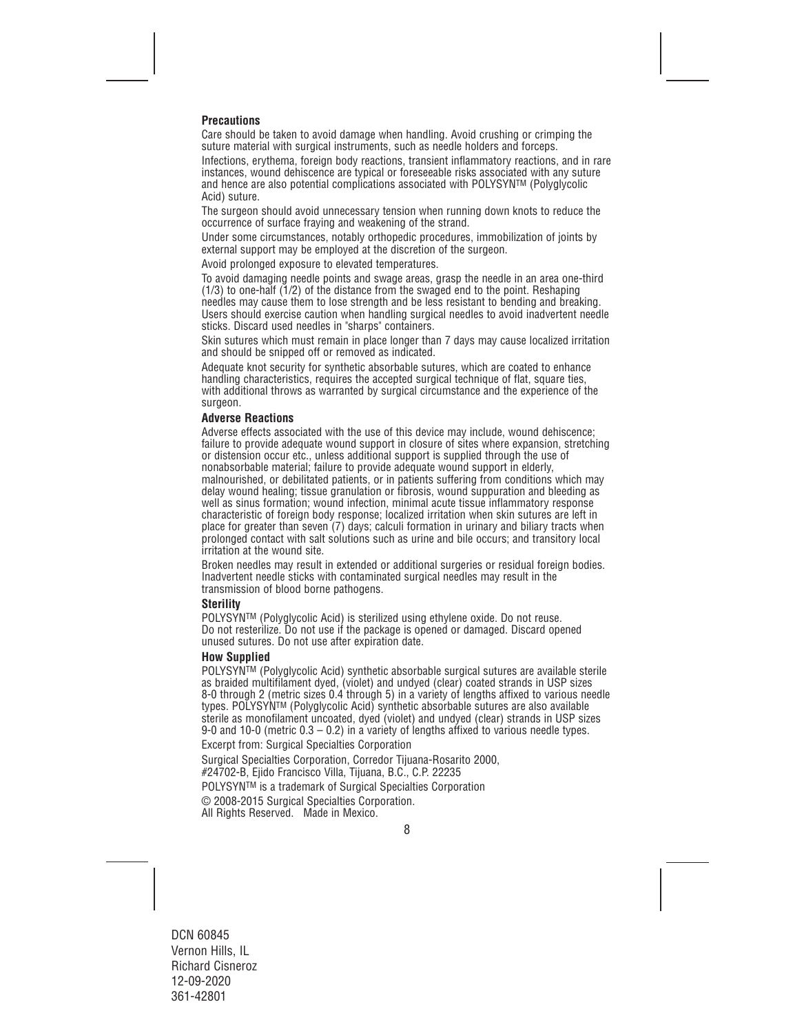#### **Precautions**

Care should be taken to avoid damage when handling. Avoid crushing or crimping the suture material with surgical instruments, such as needle holders and forceps.

Infections, erythema, foreign body reactions, transient inflammatory reactions, and in rare instances, wound dehiscence are typical or foreseeable risks associated with any suture and hence are also potential complications associated with POLYSYNTM (Polyglycolic Acid) suture.

The surgeon should avoid unnecessary tension when running down knots to reduce the occurrence of surface fraying and weakening of the strand.

Under some circumstances, notably orthopedic procedures, immobilization of joints by external support may be employed at the discretion of the surgeon.

Avoid prolonged exposure to elevated temperatures.

To avoid damaging needle points and swage areas, grasp the needle in an area one-third (1/3) to one-half (1/2) of the distance from the swaged end to the point. Reshaping needles may cause them to lose strength and be less resistant to bending and breaking. Users should exercise caution when handling surgical needles to avoid inadvertent needle sticks. Discard used needles in "sharps" containers.

Skin sutures which must remain in place longer than 7 days may cause localized irritation and should be snipped off or removed as indicated.

Adequate knot security for synthetic absorbable sutures, which are coated to enhance handling characteristics, requires the accepted surgical technique of flat, square ties, with additional throws as warranted by surgical circumstance and the experience of the surgeon.

#### **Adverse Reactions**

Adverse effects associated with the use of this device may include, wound dehiscence; failure to provide adequate wound support in closure of sites where expansion, stretching or distension occur etc., unless additional support is supplied through the use of nonabsorbable material; failure to provide adequate wound support in elderly, malnourished, or debilitated patients, or in patients suffering from conditions which may delay wound healing; tissue granulation or fibrosis, wound suppuration and bleeding as well as sinus formation; wound infection, minimal acute tissue inflammatory response characteristic of foreign body response; localized irritation when skin sutures are left in place for greater than seven (7) days; calculi formation in urinary and biliary tracts when prolonged contact with salt solutions such as urine and bile occurs; and transitory local irritation at the wound site.

Broken needles may result in extended or additional surgeries or residual foreign bodies. Inadvertent needle sticks with contaminated surgical needles may result in the transmission of blood borne pathogens.

#### **Sterility**

POLYSYNTM (Polyglycolic Acid) is sterilized using ethylene oxide. Do not reuse. Do not resterilize. Do not use if the package is opened or damaged. Discard opened unused sutures. Do not use after expiration date.

#### **How Supplied**

POLYSYN™ (Polvalvcolic Acid) synthetic absorbable surgical sutures are available sterile as braided multifilament dyed, (violet) and undyed (clear) coated strands in USP sizes 8-0 through 2 (metric sizes 0.4 through 5) in a variety of lengths affixed to various needle types. POLYSYNTM (Polyglycolic Acid) synthetic absorbable sutures are also available sterile as monofilament uncoated, dyed (violet) and undyed (clear) strands in USP sizes 9-0 and 10-0 (metric 0.3 – 0.2) in a variety of lengths affixed to various needle types. Excerpt from: Surgical Specialties Corporation

Surgical Specialties Corporation, Corredor Tijuana-Rosarito 2000,

#24702-B, Ejido Francisco Villa, Tijuana, B.C., C.P. 22235

POLYSYN™ is a trademark of Surgical Specialties Corporation

© 2008-2015 Surgical Specialties Corporation.

All Rights Reserved. Made in Mexico.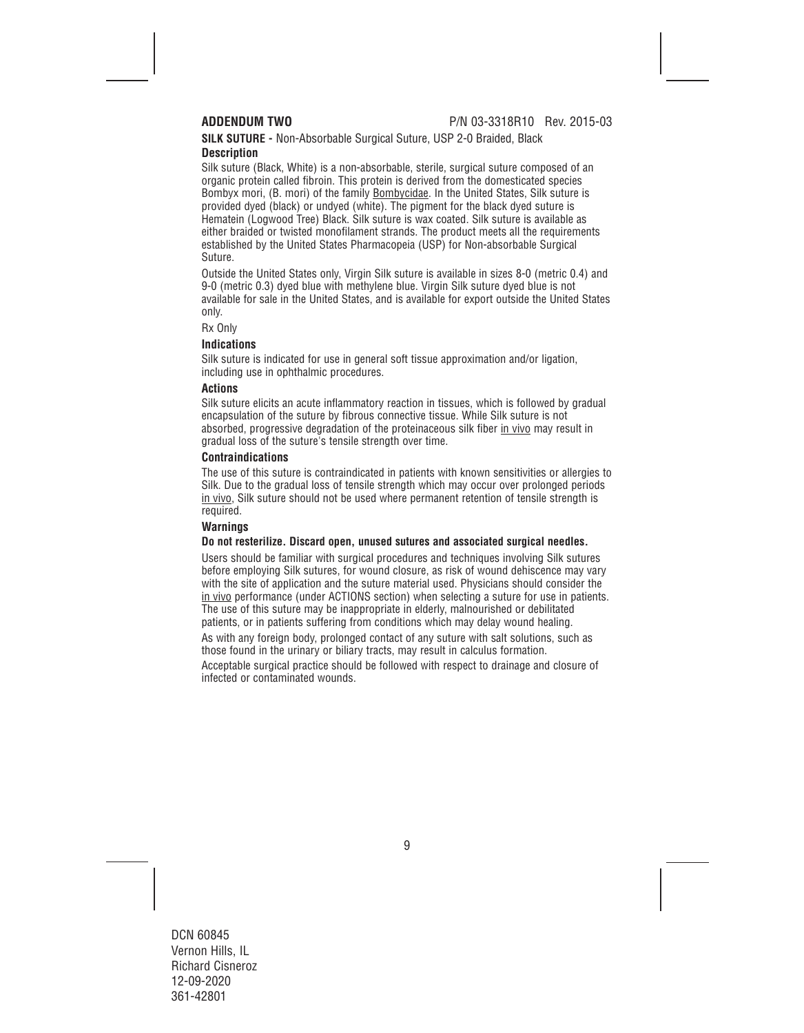#### **SILK SUTURE -** Non-Absorbable Surgical Suture, USP 2-0 Braided, Black **Description**

Silk suture (Black, White) is a non-absorbable, sterile, surgical suture composed of an organic protein called fibroin. This protein is derived from the domesticated species Bombyx mori, (B. mori) of the family Bombycidae. In the United States, Silk suture is provided dyed (black) or undyed (white). The pigment for the black dyed suture is Hematein (Logwood Tree) Black. Silk suture is wax coated. Silk suture is available as either braided or twisted monofilament strands. The product meets all the requirements established by the United States Pharmacopeia (USP) for Non-absorbable Surgical Suture.

Outside the United States only, Virgin Silk suture is available in sizes 8-0 (metric 0.4) and 9-0 (metric 0.3) dyed blue with methylene blue. Virgin Silk suture dyed blue is not available for sale in the United States, and is available for export outside the United States only.

Rx Only

#### **Indications**

Silk suture is indicated for use in general soft tissue approximation and/or ligation, including use in ophthalmic procedures.

#### **Actions**

Silk suture elicits an acute inflammatory reaction in tissues, which is followed by gradual encapsulation of the suture by fibrous connective tissue. While Silk suture is not absorbed, progressive degradation of the proteinaceous silk fiber in vivo may result in gradual loss of the suture's tensile strength over time.

#### **Contraindications**

The use of this suture is contraindicated in patients with known sensitivities or allergies to Silk. Due to the gradual loss of tensile strength which may occur over prolonged periods in vivo, Silk suture should not be used where permanent retention of tensile strength is required.

### **Warnings**

#### **Do not resterilize. Discard open, unused sutures and associated surgical needles.**

Users should be familiar with surgical procedures and techniques involving Silk sutures before employing Silk sutures, for wound closure, as risk of wound dehiscence may vary with the site of application and the suture material used. Physicians should consider the in vivo performance (under ACTIONS section) when selecting a suture for use in patients. The use of this suture may be inappropriate in elderly, malnourished or debilitated patients, or in patients suffering from conditions which may delay wound healing.

As with any foreign body, prolonged contact of any suture with salt solutions, such as those found in the urinary or biliary tracts, may result in calculus formation.

Acceptable surgical practice should be followed with respect to drainage and closure of infected or contaminated wounds.